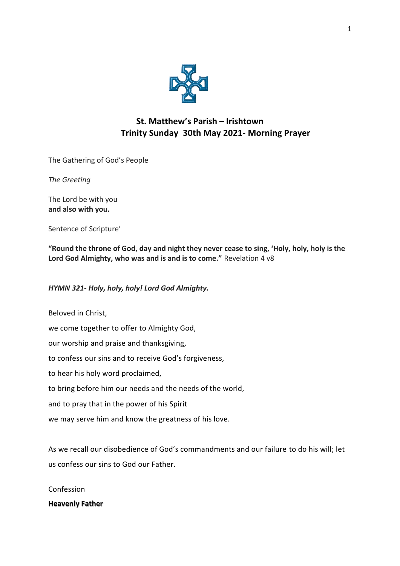

# **St. Matthew's Parish – Irishtown Trinity Sunday 30th May 2021- Morning Prayer**

The Gathering of God's People

*The Greeting*

The Lord be with you **and also with you.** 

Sentence of Scripture'

**"Round the throne of God, day and night they never cease to sing, 'Holy, holy, holy is the Lord God Almighty, who was and is and is to come."** Revelation 4 v8

# *HYMN 321- Holy, holy, holy! Lord God Almighty.*

Beloved in Christ, we come together to offer to Almighty God, our worship and praise and thanksgiving, to confess our sins and to receive God's forgiveness, to hear his holy word proclaimed, to bring before him our needs and the needs of the world, and to pray that in the power of his Spirit we may serve him and know the greatness of his love.

As we recall our disobedience of God's commandments and our failure to do his will; let us confess our sins to God our Father.

Confession

**Heavenly Father**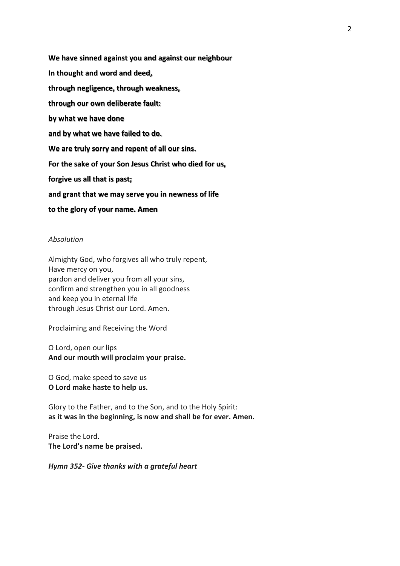**We have sinned against you and against our neighbour In thought and word and deed, through negligence, through weakness, through our own deliberate fault: by what we have done and by what we have failed to do. We are truly sorry and repent of all our sins. For the sake of your Son Jesus Christ who died for us, forgive us all that is past; and grant that we may serve you in newness of life to the glory of your name. Amen** 

#### *Absolution*

Almighty God, who forgives all who truly repent, Have mercy on you, pardon and deliver you from all your sins, confirm and strengthen you in all goodness and keep you in eternal life through Jesus Christ our Lord. Amen.

Proclaiming and Receiving the Word

O Lord, open our lips **And our mouth will proclaim your praise.** 

O God, make speed to save us **O Lord make haste to help us.**

Glory to the Father, and to the Son, and to the Holy Spirit: **as it was in the beginning, is now and shall be for ever. Amen.**

Praise the Lord. **The Lord's name be praised.**

*Hymn 352- Give thanks with a grateful heart*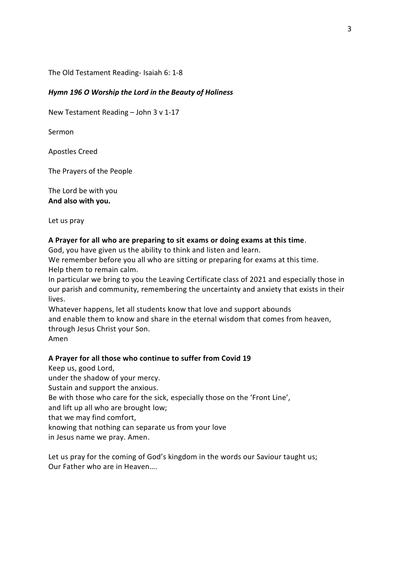The Old Testament Reading- Isaiah 6: 1-8

### *Hymn 196 O Worship the Lord in the Beauty of Holiness*

New Testament Reading – John 3 v 1-17

Sermon

Apostles Creed

The Prayers of the People

The Lord be with you **And also with you.**

Let us pray

#### **A Prayer for all who are preparing to sit exams or doing exams at this time**.

God, you have given us the ability to think and listen and learn.

We remember before you all who are sitting or preparing for exams at this time. Help them to remain calm.

In particular we bring to you the Leaving Certificate class of 2021 and especially those in our parish and community, remembering the uncertainty and anxiety that exists in their lives.

Whatever happens, let all students know that love and support abounds and enable them to know and share in the eternal wisdom that comes from heaven, through Jesus Christ your Son. Amen

#### **A Prayer for all those who continue to suffer from Covid 19**

Keep us, good Lord, under the shadow of your mercy. Sustain and support the anxious. Be with those who care for the sick, especially those on the 'Front Line', and lift up all who are brought low; that we may find comfort, knowing that nothing can separate us from your love in Jesus name we pray. Amen.

Let us pray for the coming of God's kingdom in the words our Saviour taught us; Our Father who are in Heaven….